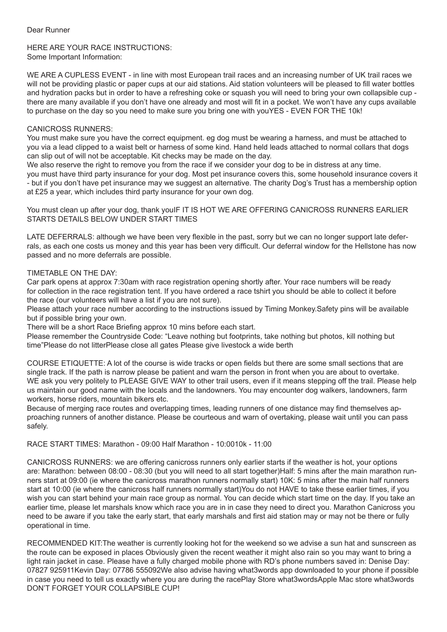HERE ARE YOUR RACE INSTRUCTIONS: Some Important Information:

WE ARE A CUPLESS EVENT - in line with most European trail races and an increasing number of UK trail races we will not be providing plastic or paper cups at our aid stations. Aid station volunteers will be pleased to fill water bottles and hydration packs but in order to have a refreshing coke or squash you will need to bring your own collapsible cup there are many available if you don't have one already and most will fit in a pocket. We won't have any cups available to purchase on the day so you need to make sure you bring one with youYES - EVEN FOR THE 10k!

## CANICROSS RUNNERS:

You must make sure you have the correct equipment. eg dog must be wearing a harness, and must be attached to you via a lead clipped to a waist belt or harness of some kind. Hand held leads attached to normal collars that dogs can slip out of will not be acceptable. Kit checks may be made on the day.

We also reserve the right to remove you from the race if we consider your dog to be in distress at any time. you must have third party insurance for your dog. Most pet insurance covers this, some household insurance covers it - but if you don't have pet insurance may we suggest an alternative. The charity Dog's Trust has a membership option at £25 a year, which includes third party insurance for your own dog.

You must clean up after your dog, thank youIF IT IS HOT WE ARE OFFERING CANICROSS RUNNERS EARLIER STARTS DETAILS BELOW UNDER START TIMES

LATE DEFERRALS: although we have been very flexible in the past, sorry but we can no longer support late deferrals, as each one costs us money and this year has been very difficult. Our deferral window for the Hellstone has now passed and no more deferrals are possible.

### TIMETABLE ON THE DAY:

Car park opens at approx 7:30am with race registration opening shortly after. Your race numbers will be ready for collection in the race registration tent. If you have ordered a race tshirt you should be able to collect it before the race (our volunteers will have a list if you are not sure).

Please attach your race number according to the instructions issued by Timing Monkey.Safety pins will be available but if possible bring your own.

There will be a short Race Briefing approx 10 mins before each start.

Please remember the Countryside Code: "Leave nothing but footprints, take nothing but photos, kill nothing but time"Please do not litterPlease close all gates Please give livestock a wide berth

COURSE ETIQUETTE: A lot of the course is wide tracks or open fields but there are some small sections that are single track. If the path is narrow please be patient and warn the person in front when you are about to overtake. WE ask you very politely to PLEASE GIVE WAY to other trail users, even if it means stepping off the trail. Please help us maintain our good name with the locals and the landowners. You may encounter dog walkers, landowners, farm workers, horse riders, mountain bikers etc.

Because of merging race routes and overlapping times, leading runners of one distance may find themselves approaching runners of another distance. Please be courteous and warn of overtaking, please wait until you can pass safely.

RACE START TIMES: Marathon - 09:00 Half Marathon - 10:0010k - 11:00

CANICROSS RUNNERS: we are offering canicross runners only earlier starts if the weather is hot, your options are: Marathon: between 08:00 - 08:30 (but you will need to all start together)Half: 5 mins after the main marathon runners start at 09:00 (ie where the canicross marathon runners normally start) 10K: 5 mins after the main half runners start at 10:00 (ie where the canicross half runners normally start)You do not HAVE to take these earlier times, if you wish you can start behind your main race group as normal. You can decide which start time on the day. If you take an earlier time, please let marshals know which race you are in in case they need to direct you. Marathon Canicross you need to be aware if you take the early start, that early marshals and first aid station may or may not be there or fully operational in time.

RECOMMENDED KIT:The weather is currently looking hot for the weekend so we advise a sun hat and sunscreen as the route can be exposed in places Obviously given the recent weather it might also rain so you may want to bring a light rain jacket in case. Please have a fully charged mobile phone with RD's phone numbers saved in: Denise Day: 07827 925911Kevin Day: 07786 555092We also advise having what3words app downloaded to your phone if possible in case you need to tell us exactly where you are during the racePlay Store what3wordsApple Mac store what3words DON'T FORGET YOUR COLLAPSIBLE CUP!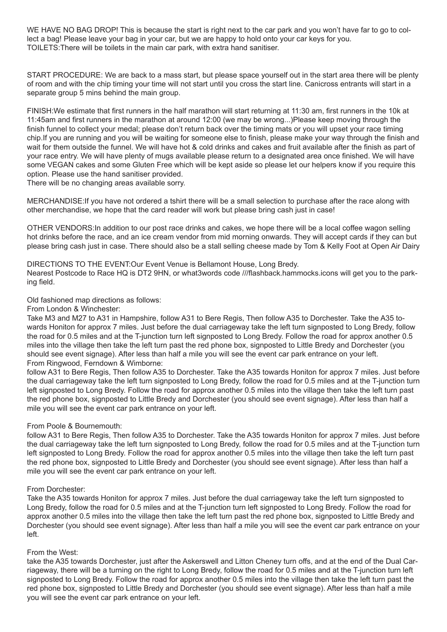WE HAVE NO BAG DROP! This is because the start is right next to the car park and you won't have far to go to collect a bag! Please leave your bag in your car, but we are happy to hold onto your car keys for you. TOILETS:There will be toilets in the main car park, with extra hand sanitiser.

START PROCEDURE: We are back to a mass start, but please space yourself out in the start area there will be plenty of room and with the chip timing your time will not start until you cross the start line. Canicross entrants will start in a separate group 5 mins behind the main group.

FINISH:We estimate that first runners in the half marathon will start returning at 11:30 am, first runners in the 10k at 11:45am and first runners in the marathon at around 12:00 (we may be wrong...)Please keep moving through the finish funnel to collect your medal; please don't return back over the timing mats or you will upset your race timing chip.If you are running and you will be waiting for someone else to finish, please make your way through the finish and wait for them outside the funnel. We will have hot & cold drinks and cakes and fruit available after the finish as part of your race entry. We will have plenty of mugs available please return to a designated area once finished. We will have some VEGAN cakes and some Gluten Free which will be kept aside so please let our helpers know if you require this option. Please use the hand sanitiser provided.

There will be no changing areas available sorry.

MERCHANDISE:If you have not ordered a tshirt there will be a small selection to purchase after the race along with other merchandise, we hope that the card reader will work but please bring cash just in case!

OTHER VENDORS:In addition to our post race drinks and cakes, we hope there will be a local coffee wagon selling hot drinks before the race, and an ice cream vendor from mid morning onwards. They will accept cards if they can but please bring cash just in case. There should also be a stall selling cheese made by Tom & Kelly Foot at Open Air Dairy

### DIRECTIONS TO THE EVENT:Our Event Venue is Bellamont House, Long Bredy.

Nearest Postcode to Race HQ is DT2 9HN, or what3words code ///flashback.hammocks.icons will get you to the parking field.

Old fashioned map directions as follows:

From London & Winchester:

Take M3 and M27 to A31 in Hampshire, follow A31 to Bere Regis, Then follow A35 to Dorchester. Take the A35 towards Honiton for approx 7 miles. Just before the dual carriageway take the left turn signposted to Long Bredy, follow the road for 0.5 miles and at the T-junction turn left signposted to Long Bredy. Follow the road for approx another 0.5 miles into the village then take the left turn past the red phone box, signposted to Little Bredy and Dorchester (you should see event signage). After less than half a mile you will see the event car park entrance on your left. From Ringwood, Ferndown & Wimborne:

follow A31 to Bere Regis, Then follow A35 to Dorchester. Take the A35 towards Honiton for approx 7 miles. Just before the dual carriageway take the left turn signposted to Long Bredy, follow the road for 0.5 miles and at the T-junction turn left signposted to Long Bredy. Follow the road for approx another 0.5 miles into the village then take the left turn past the red phone box, signposted to Little Bredy and Dorchester (you should see event signage). After less than half a mile you will see the event car park entrance on your left.

# From Poole & Bournemouth:

follow A31 to Bere Regis, Then follow A35 to Dorchester. Take the A35 towards Honiton for approx 7 miles. Just before the dual carriageway take the left turn signposted to Long Bredy, follow the road for 0.5 miles and at the T-junction turn left signposted to Long Bredy. Follow the road for approx another 0.5 miles into the village then take the left turn past the red phone box, signposted to Little Bredy and Dorchester (you should see event signage). After less than half a mile you will see the event car park entrance on your left.

# From Dorchester:

Take the A35 towards Honiton for approx 7 miles. Just before the dual carriageway take the left turn signposted to Long Bredy, follow the road for 0.5 miles and at the T-junction turn left signposted to Long Bredy. Follow the road for approx another 0.5 miles into the village then take the left turn past the red phone box, signposted to Little Bredy and Dorchester (you should see event signage). After less than half a mile you will see the event car park entrance on your left.

# From the West:

take the A35 towards Dorchester, just after the Askerswell and Litton Cheney turn offs, and at the end of the Dual Carriageway, there will be a turning on the right to Long Bredy, follow the road for 0.5 miles and at the T-junction turn left signposted to Long Bredy. Follow the road for approx another 0.5 miles into the village then take the left turn past the red phone box, signposted to Little Bredy and Dorchester (you should see event signage). After less than half a mile you will see the event car park entrance on your left.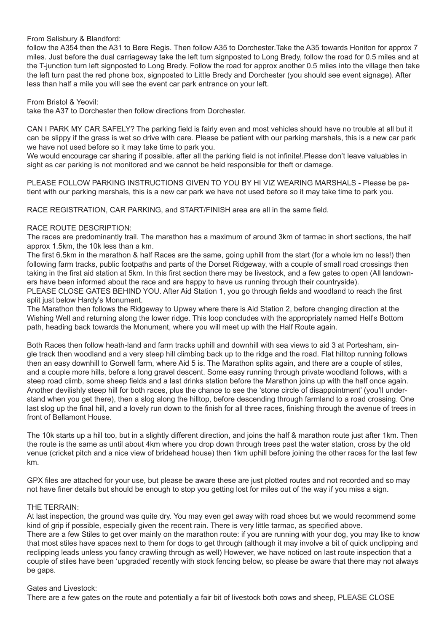## From Salisbury & Blandford:

follow the A354 then the A31 to Bere Regis. Then follow A35 to Dorchester.Take the A35 towards Honiton for approx 7 miles. Just before the dual carriageway take the left turn signposted to Long Bredy, follow the road for 0.5 miles and at the T-junction turn left signposted to Long Bredy. Follow the road for approx another 0.5 miles into the village then take the left turn past the red phone box, signposted to Little Bredy and Dorchester (you should see event signage). After less than half a mile you will see the event car park entrance on your left.

### From Bristol & Yeovil:

take the A37 to Dorchester then follow directions from Dorchester.

CAN I PARK MY CAR SAFELY? The parking field is fairly even and most vehicles should have no trouble at all but it can be slippy if the grass is wet so drive with care. Please be patient with our parking marshals, this is a new car park we have not used before so it may take time to park you.

We would encourage car sharing if possible, after all the parking field is not infinite!.Please don't leave valuables in sight as car parking is not monitored and we cannot be held responsible for theft or damage.

PLEASE FOLLOW PARKING INSTRUCTIONS GIVEN TO YOU BY HI VIZ WEARING MARSHALS - Please be patient with our parking marshals, this is a new car park we have not used before so it may take time to park you.

RACE REGISTRATION, CAR PARKING, and START/FINISH area are all in the same field.

### RACE ROUTE DESCRIPTION:

The races are predominantly trail. The marathon has a maximum of around 3km of tarmac in short sections, the half approx 1.5km, the 10k less than a km.

The first 6.5km in the marathon & half Races are the same, going uphill from the start (for a whole km no less!) then following farm tracks, public footpaths and parts of the Dorset Ridgeway, with a couple of small road crossings then taking in the first aid station at 5km. In this first section there may be livestock, and a few gates to open (All landowners have been informed about the race and are happy to have us running through their countryside).

PLEASE CLOSE GATES BEHIND YOU. After Aid Station 1, you go through fields and woodland to reach the first split just below Hardy's Monument.

The Marathon then follows the Ridgeway to Upwey where there is Aid Station 2, before changing direction at the Wishing Well and returning along the lower ridge. This loop concludes with the appropriately named Hell's Bottom path, heading back towards the Monument, where you will meet up with the Half Route again.

Both Races then follow heath-land and farm tracks uphill and downhill with sea views to aid 3 at Portesham, single track then woodland and a very steep hill climbing back up to the ridge and the road. Flat hilltop running follows then an easy downhill to Gorwell farm, where Aid 5 is. The Marathon splits again, and there are a couple of stiles, and a couple more hills, before a long gravel descent. Some easy running through private woodland follows, with a steep road climb, some sheep fields and a last drinks station before the Marathon joins up with the half once again. Another devilishly steep hill for both races, plus the chance to see the 'stone circle of disappointment' (you'll understand when you get there), then a slog along the hilltop, before descending through farmland to a road crossing. One last slog up the final hill, and a lovely run down to the finish for all three races, finishing through the avenue of trees in front of Bellamont House.

The 10k starts up a hill too, but in a slightly different direction, and joins the half & marathon route just after 1km. Then the route is the same as until about 4km where you drop down through trees past the water station, cross by the old venue (cricket pitch and a nice view of bridehead house) then 1km uphill before joining the other races for the last few km.

GPX files are attached for your use, but please be aware these are just plotted routes and not recorded and so may not have finer details but should be enough to stop you getting lost for miles out of the way if you miss a sign.

#### THE TERRAIN:

At last inspection, the ground was quite dry. You may even get away with road shoes but we would recommend some kind of grip if possible, especially given the recent rain. There is very little tarmac, as specified above. There are a few Stiles to get over mainly on the marathon route: if you are running with your dog, you may like to know that most stiles have spaces next to them for dogs to get through (although it may involve a bit of quick unclipping and reclipping leads unless you fancy crawling through as well) However, we have noticed on last route inspection that a couple of stiles have been 'upgraded' recently with stock fencing below, so please be aware that there may not always be gaps.

#### Gates and Livestock:

There are a few gates on the route and potentially a fair bit of livestock both cows and sheep, PLEASE CLOSE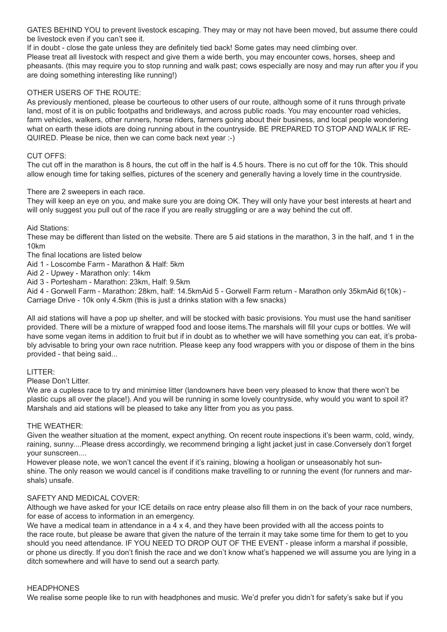GATES BEHIND YOU to prevent livestock escaping. They may or may not have been moved, but assume there could be livestock even if you can't see it.

If in doubt - close the gate unless they are definitely tied back! Some gates may need climbing over.

Please treat all livestock with respect and give them a wide berth, you may encounter cows, horses, sheep and pheasants. (this may require you to stop running and walk past; cows especially are nosy and may run after you if you are doing something interesting like running!)

# OTHER USERS OF THE ROUTE:

As previously mentioned, please be courteous to other users of our route, although some of it runs through private land, most of it is on public footpaths and bridleways, and across public roads. You may encounter road vehicles, farm vehicles, walkers, other runners, horse riders, farmers going about their business, and local people wondering what on earth these idiots are doing running about in the countryside. BE PREPARED TO STOP AND WALK IF RE-QUIRED. Please be nice, then we can come back next year :-)

# CUT OFFS:

The cut off in the marathon is 8 hours, the cut off in the half is 4.5 hours. There is no cut off for the 10k. This should allow enough time for taking selfies, pictures of the scenery and generally having a lovely time in the countryside.

# There are 2 sweepers in each race.

They will keep an eye on you, and make sure you are doing OK. They will only have your best interests at heart and will only suggest you pull out of the race if you are really struggling or are a way behind the cut off.

Aid Stations:

These may be different than listed on the website. There are 5 aid stations in the marathon, 3 in the half, and 1 in the 10km

The final locations are listed below

Aid 1 - Loscombe Farm - Marathon & Half: 5km

Aid 2 - Upwey - Marathon only: 14km

Aid 3 - Portesham - Marathon: 23km, Half: 9.5km

Aid 4 - Gorwell Farm - Marathon: 28km, half: 14.5kmAid 5 - Gorwell Farm return - Marathon only 35kmAid 6(10k) - Carriage Drive - 10k only 4.5km (this is just a drinks station with a few snacks)

All aid stations will have a pop up shelter, and will be stocked with basic provisions. You must use the hand sanitiser provided. There will be a mixture of wrapped food and loose items.The marshals will fill your cups or bottles. We will have some vegan items in addition to fruit but if in doubt as to whether we will have something you can eat, it's probably advisable to bring your own race nutrition. Please keep any food wrappers with you or dispose of them in the bins provided - that being said...

# LITTER:

Please Don't Litter.

We are a cupless race to try and minimise litter (landowners have been very pleased to know that there won't be plastic cups all over the place!). And you will be running in some lovely countryside, why would you want to spoil it? Marshals and aid stations will be pleased to take any litter from you as you pass.

# THE WEATHER:

Given the weather situation at the moment, expect anything. On recent route inspections it's been warm, cold, windy, raining, sunny....Please dress accordingly, we recommend bringing a light jacket just in case.Conversely don't forget your sunscreen....

However please note, we won't cancel the event if it's raining, blowing a hooligan or unseasonably hot sunshine. The only reason we would cancel is if conditions make travelling to or running the event (for runners and marshals) unsafe.

# SAFETY AND MEDICAL COVER:

Although we have asked for your ICE details on race entry please also fill them in on the back of your race numbers, for ease of access to information in an emergency.

We have a medical team in attendance in a  $4 \times 4$ , and they have been provided with all the access points to the race route, but please be aware that given the nature of the terrain it may take some time for them to get to you should you need attendance. IF YOU NEED TO DROP OUT OF THE EVENT - please inform a marshal if possible, or phone us directly. If you don't finish the race and we don't know what's happened we will assume you are lying in a ditch somewhere and will have to send out a search party.

# **HEADPHONES**

We realise some people like to run with headphones and music. We'd prefer you didn't for safety's sake but if you